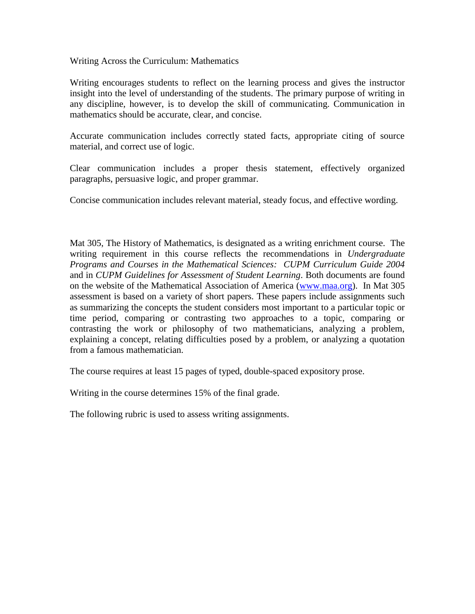Writing Across the Curriculum: Mathematics

Writing encourages students to reflect on the learning process and gives the instructor insight into the level of understanding of the students. The primary purpose of writing in any discipline, however, is to develop the skill of communicating. Communication in mathematics should be accurate, clear, and concise.

Accurate communication includes correctly stated facts, appropriate citing of source material, and correct use of logic.

Clear communication includes a proper thesis statement, effectively organized paragraphs, persuasive logic, and proper grammar.

Concise communication includes relevant material, steady focus, and effective wording.

Mat 305, The History of Mathematics, is designated as a writing enrichment course. The writing requirement in this course reflects the recommendations in *Undergraduate Programs and Courses in the Mathematical Sciences: CUPM Curriculum Guide 2004* and in *CUPM Guidelines for Assessment of Student Learning*. Both documents are found on the website of the Mathematical Association of America [\(www.maa.org\)](http://www.maa.org/). In Mat 305 assessment is based on a variety of short papers. These papers include assignments such as summarizing the concepts the student considers most important to a particular topic or time period, comparing or contrasting two approaches to a topic, comparing or contrasting the work or philosophy of two mathematicians, analyzing a problem, explaining a concept, relating difficulties posed by a problem, or analyzing a quotation from a famous mathematician.

The course requires at least 15 pages of typed, double-spaced expository prose.

Writing in the course determines 15% of the final grade.

The following rubric is used to assess writing assignments.